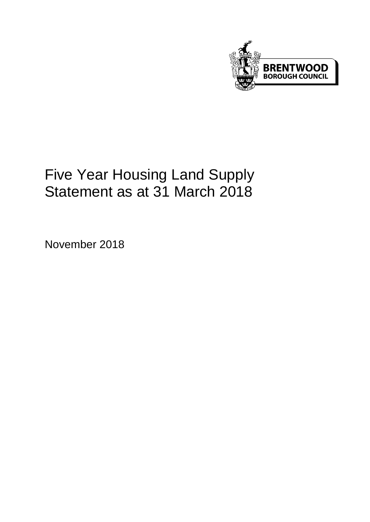

# Five Year Housing Land Supply Statement as at 31 March 2018

November 2018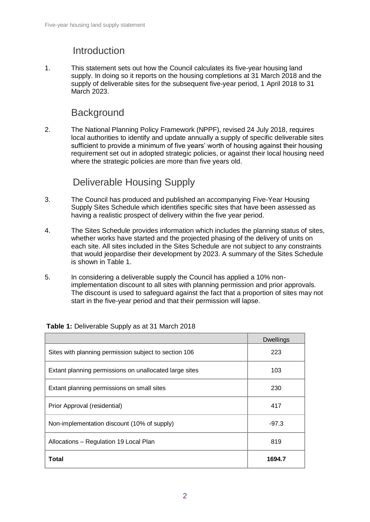### Introduction

1. This statement sets out how the Council calculates its five-year housing land supply. In doing so it reports on the housing completions at 31 March 2018 and the supply of deliverable sites for the subsequent five-year period, 1 April 2018 to 31 March 2023.

### **Background**

2. The National Planning Policy Framework (NPPF), revised 24 July 2018, requires local authorities to identify and update annually a supply of specific deliverable sites sufficient to provide a minimum of five years' worth of housing against their housing requirement set out in adopted strategic policies, or against their local housing need where the strategic policies are more than five years old.

## Deliverable Housing Supply

- 3. The Council has produced and published an accompanying Five-Year Housing Supply Sites Schedule which identifies specific sites that have been assessed as having a realistic prospect of delivery within the five year period.
- 4. The Sites Schedule provides information which includes the planning status of sites, whether works have started and the projected phasing of the delivery of units on each site. All sites included in the Sites Schedule are not subject to any constraints that would jeopardise their development by 2023. A summary of the Sites Schedule is shown in Table 1.
- 5. In considering a deliverable supply the Council has applied a 10% nonimplementation discount to all sites with planning permission and prior approvals. The discount is used to safeguard against the fact that a proportion of sites may not start in the five-year period and that their permission will lapse.

|                                                        | <b>Dwellings</b> |  |  |
|--------------------------------------------------------|------------------|--|--|
| Sites with planning permission subject to section 106  | 223              |  |  |
| Extant planning permissions on unallocated large sites | 103              |  |  |
| Extant planning permissions on small sites             | 230              |  |  |
| Prior Approval (residential)                           | 417              |  |  |
| Non-implementation discount (10% of supply)            | $-97.3$          |  |  |
| Allocations - Regulation 19 Local Plan                 | 819              |  |  |
| Total                                                  | 1694.7           |  |  |

#### **Table 1:** Deliverable Supply as at 31 March 2018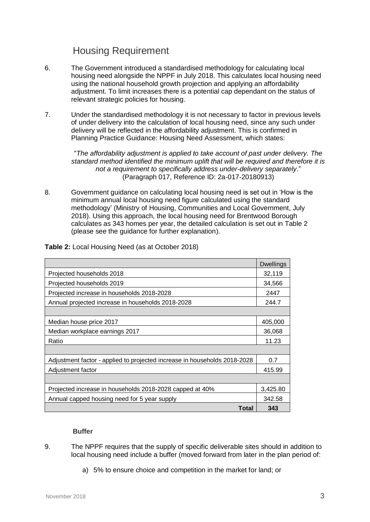### Housing Requirement

- 6. The Government introduced a standardised methodology for calculating local housing need alongside the NPPF in July 2018. This calculates local housing need using the national household growth projection and applying an affordability adjustment. To limit increases there is a potential cap dependant on the status of relevant strategic policies for housing.
- 7. Under the standardised methodology it is not necessary to factor in previous levels of under delivery into the calculation of local housing need, since any such under delivery will be reflected in the affordability adjustment. This is confirmed in Planning Practice Guidance: Housing Need Assessment, which states:

"*The affordability adjustment is applied to take account of past under delivery. The standard method identified the minimum uplift that will be required and therefore it is not a requirement to specifically address under-delivery separately*." (Paragraph 017, Reference ID: 2a-017-20180913)

8. Government guidance on calculating local housing need is set out in 'How is the minimum annual local housing need figure calculated using the standard methodology' (Ministry of Housing, Communities and Local Government, July 2018). Using this approach, the local housing need for Brentwood Borough calculates as 343 homes per year, the detailed calculation is set out in Table 2 (please see the guidance for further explanation).

|                                                                           | <b>Dwellings</b> |  |  |  |  |  |  |  |
|---------------------------------------------------------------------------|------------------|--|--|--|--|--|--|--|
| Projected households 2018                                                 | 32,119           |  |  |  |  |  |  |  |
| Projected households 2019                                                 | 34,566           |  |  |  |  |  |  |  |
| Projected increase in households 2018-2028                                |                  |  |  |  |  |  |  |  |
| Annual projected increase in households 2018-2028                         |                  |  |  |  |  |  |  |  |
|                                                                           |                  |  |  |  |  |  |  |  |
| Median house price 2017                                                   | 405,000          |  |  |  |  |  |  |  |
| Median workplace earnings 2017                                            |                  |  |  |  |  |  |  |  |
| Ratio                                                                     |                  |  |  |  |  |  |  |  |
|                                                                           |                  |  |  |  |  |  |  |  |
| Adjustment factor - applied to projected increase in households 2018-2028 |                  |  |  |  |  |  |  |  |
| Adjustment factor                                                         |                  |  |  |  |  |  |  |  |
|                                                                           |                  |  |  |  |  |  |  |  |
| Projected increase in households 2018-2028 capped at 40%                  | 3,425.80         |  |  |  |  |  |  |  |
| Annual capped housing need for 5 year supply                              | 342.58           |  |  |  |  |  |  |  |
| Total                                                                     | 343              |  |  |  |  |  |  |  |

**Table 2:** Local Housing Need (as at October 2018)

#### **Buffer**

- 9. The NPPF requires that the supply of specific deliverable sites should in addition to local housing need include a buffer (moved forward from later in the plan period of:
	- a) 5% to ensure choice and competition in the market for land; or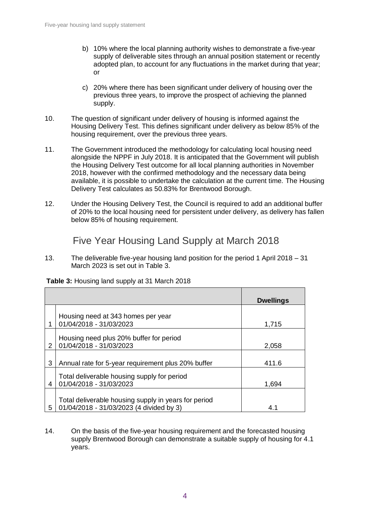- b) 10% where the local planning authority wishes to demonstrate a five-year supply of deliverable sites through an annual position statement or recently adopted plan, to account for any fluctuations in the market during that year; or
- c) 20% where there has been significant under delivery of housing over the previous three years, to improve the prospect of achieving the planned supply.
- 10. The question of significant under delivery of housing is informed against the Housing Delivery Test. This defines significant under delivery as below 85% of the housing requirement, over the previous three years.
- 11. The Government introduced the methodology for calculating local housing need alongside the NPPF in July 2018. It is anticipated that the Government will publish the Housing Delivery Test outcome for all local planning authorities in November 2018, however with the confirmed methodology and the necessary data being available, it is possible to undertake the calculation at the current time. The Housing Delivery Test calculates as 50.83% for Brentwood Borough.
- 12. Under the Housing Delivery Test, the Council is required to add an additional buffer of 20% to the local housing need for persistent under delivery, as delivery has fallen below 85% of housing requirement.

Five Year Housing Land Supply at March 2018

13. The deliverable five-year housing land position for the period 1 April 2018 – 31 March 2023 is set out in Table 3.

|               |                                                                                                  | <b>Dwellings</b> |
|---------------|--------------------------------------------------------------------------------------------------|------------------|
|               | Housing need at 343 homes per year<br>01/04/2018 - 31/03/2023                                    |                  |
|               |                                                                                                  | 1,715            |
| $\mathcal{P}$ | Housing need plus 20% buffer for period<br>01/04/2018 - 31/03/2023                               | 2,058            |
| 3             | Annual rate for 5-year requirement plus 20% buffer                                               | 411.6            |
| 4             | Total deliverable housing supply for period<br>01/04/2018 - 31/03/2023                           | 1,694            |
| 5             | Total deliverable housing supply in years for period<br>01/04/2018 - 31/03/2023 (4 divided by 3) |                  |

**Table 3:** Housing land supply at 31 March 2018

14. On the basis of the five-year housing requirement and the forecasted housing supply Brentwood Borough can demonstrate a suitable supply of housing for 4.1 years.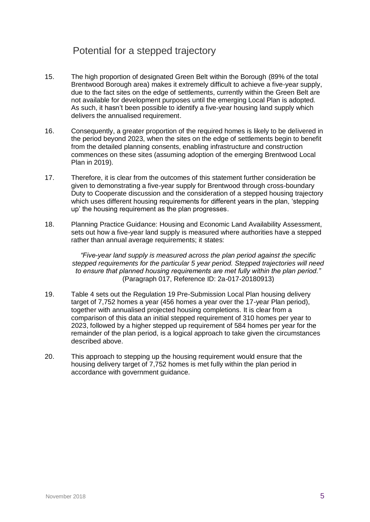### Potential for a stepped trajectory

- 15. The high proportion of designated Green Belt within the Borough (89% of the total Brentwood Borough area) makes it extremely difficult to achieve a five-year supply, due to the fact sites on the edge of settlements, currently within the Green Belt are not available for development purposes until the emerging Local Plan is adopted. As such, it hasn't been possible to identify a five-year housing land supply which delivers the annualised requirement.
- 16. Consequently, a greater proportion of the required homes is likely to be delivered in the period beyond 2023, when the sites on the edge of settlements begin to benefit from the detailed planning consents, enabling infrastructure and construction commences on these sites (assuming adoption of the emerging Brentwood Local Plan in 2019).
- 17. Therefore, it is clear from the outcomes of this statement further consideration be given to demonstrating a five-year supply for Brentwood through cross-boundary Duty to Cooperate discussion and the consideration of a stepped housing trajectory which uses different housing requirements for different years in the plan, 'stepping up' the housing requirement as the plan progresses.
- 18. Planning Practice Guidance: Housing and Economic Land Availability Assessment, sets out how a five-year land supply is measured where authorities have a stepped rather than annual average requirements; it states:

*"Five-year land supply is measured across the plan period against the specific stepped requirements for the particular 5 year period. Stepped trajectories will need to ensure that planned housing requirements are met fully within the plan period."* (Paragraph 017, Reference ID: 2a-017-20180913)

- 19. Table 4 sets out the Regulation 19 Pre-Submission Local Plan housing delivery target of 7,752 homes a year (456 homes a year over the 17-year Plan period), together with annualised projected housing completions. It is clear from a comparison of this data an initial stepped requirement of 310 homes per year to 2023, followed by a higher stepped up requirement of 584 homes per year for the remainder of the plan period, is a logical approach to take given the circumstances described above.
- 20. This approach to stepping up the housing requirement would ensure that the housing delivery target of 7,752 homes is met fully within the plan period in accordance with government guidance.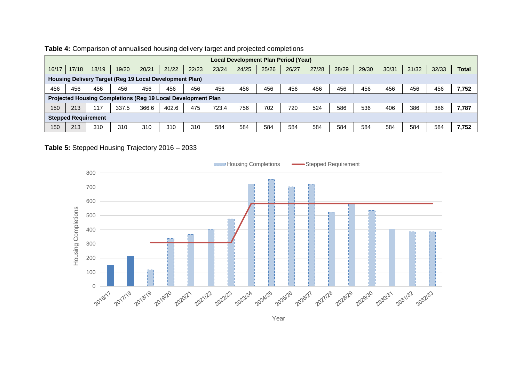| Local Development Plan Period (Year)                         |       |       |       |       |       |       |       |       |       |       |       |       |       |       |       |       |              |
|--------------------------------------------------------------|-------|-------|-------|-------|-------|-------|-------|-------|-------|-------|-------|-------|-------|-------|-------|-------|--------------|
| 16/17                                                        | 17/18 | 18/19 | 19/20 | 20/21 | 21/22 | 22/23 | 23/24 | 24/25 | 25/26 | 26/27 | 27/28 | 28/29 | 29/30 | 30/31 | 31/32 | 32/33 | <b>Total</b> |
| Housing Delivery Target (Reg 19 Local Development Plan)      |       |       |       |       |       |       |       |       |       |       |       |       |       |       |       |       |              |
| 456                                                          | 456   | 456   | 456   | 456   | 456   | 456   | 456   | 456   | 456   | 456   | 456   | 456   | 456   | 456   | 456   | 456   | 7,752        |
| Projected Housing Completions (Reg 19 Local Development Plan |       |       |       |       |       |       |       |       |       |       |       |       |       |       |       |       |              |
| 150                                                          | 213   | 117   | 337.5 | 366.6 | 402.6 | 475   | 723.4 | 756   | 702   | 720   | 524   | 586   | 536   | 406   | 386   | 386   | 7,787        |
| <b>Stepped Requirement</b>                                   |       |       |       |       |       |       |       |       |       |       |       |       |       |       |       |       |              |
| 150                                                          | 213   | 310   | 310   | 310   | 310   | 310   | 584   | 584   | 584   | 584   | 584   | 584   | 584   | 584   | 584   | 584   | 7,752        |

#### **Table 4:** Comparison of annualised housing delivery target and projected completions

#### **Table 5:** Stepped Housing Trajectory 2016 – 2033